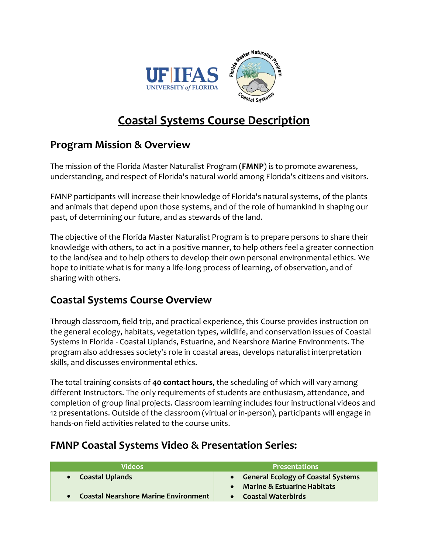

# **Coastal Systems Course Description**

## **Program Mission & Overview**

The mission of the Florida Master Naturalist Program (**FMNP**) is to promote awareness, understanding, and respect of Florida's natural world among Florida's citizens and visitors.

FMNP participants will increase their knowledge of Florida's natural systems, of the plants and animals that depend upon those systems, and of the role of humankind in shaping our past, of determining our future, and as stewards of the land.

The objective of the Florida Master Naturalist Program is to prepare persons to share their knowledge with others, to act in a positive manner, to help others feel a greater connection to the land/sea and to help others to develop their own personal environmental ethics. We hope to initiate what is for many a life-long process of learning, of observation, and of sharing with others.

#### **Coastal Systems Course Overview**

Through classroom, field trip, and practical experience, this Course provides instruction on the general ecology, habitats, vegetation types, wildlife, and conservation issues of Coastal Systems in Florida - Coastal Uplands, Estuarine, and Nearshore Marine Environments. The program also addresses society's role in coastal areas, develops naturalist interpretation skills, and discusses environmental ethics.

The total training consists of **40 contact hours**, the scheduling of which will vary among different Instructors. The only requirements of students are enthusiasm, attendance, and completion of group final projects. Classroom learning includes four instructional videos and 12 presentations. Outside of the classroom (virtual or in-person), participants will engage in hands-on field activities related to the course units.

## **FMNP Coastal Systems Video & Presentation Series:**

| <b>Videos</b>                               | <b>Presentations</b>                                                  |
|---------------------------------------------|-----------------------------------------------------------------------|
| • Coastal Uplands                           | • General Ecology of Coastal Systems<br>• Marine & Estuarine Habitats |
| <b>Coastal Nearshore Marine Environment</b> | • Coastal Waterbirds                                                  |